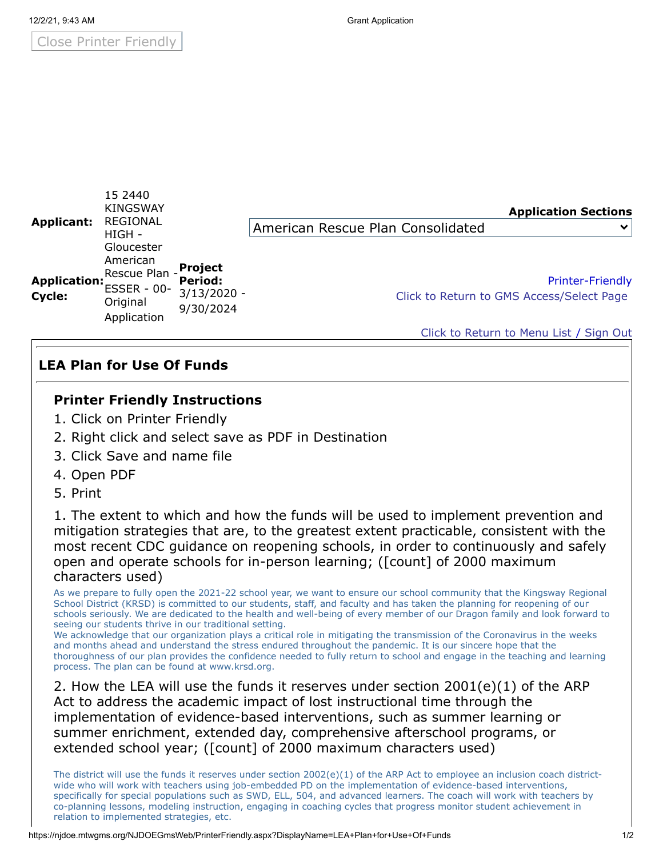Close Printer Friendly

| <b>Applicant:</b>      | 19 2440<br><b>KINGSWAY</b><br><b>REGIONAL</b><br>HIGH -<br>Gloucester<br>American<br>Rescue Plan -<br><b>ESSER - 00-</b><br>Original<br>Application |                                                         | <b>Application Sections</b>                                          |
|------------------------|-----------------------------------------------------------------------------------------------------------------------------------------------------|---------------------------------------------------------|----------------------------------------------------------------------|
|                        |                                                                                                                                                     |                                                         | American Rescue Plan Consolidated<br>$\checkmark$                    |
| Application:<br>Cycle: |                                                                                                                                                     | <b>Project</b><br>Period:<br>$3/13/2020 -$<br>9/30/2024 | <b>Printer-Friendly</b><br>Click to Return to GMS Access/Select Page |
|                        |                                                                                                                                                     |                                                         | Click to Return to Menu List / Sign Out                              |

## **LEA Plan for Use Of Funds**

 $15.2440$ 

## **Printer Friendly Instructions**

- 1. Click on Printer Friendly
- 2. Right click and select save as PDF in Destination
- 3. Click Save and name file
- 4. Open PDF
- 5. Print

1. The extent to which and how the funds will be used to implement prevention and mitigation strategies that are, to the greatest extent practicable, consistent with the most recent CDC guidance on reopening schools, in order to continuously and safely open and operate schools for in-person learning; ([count] of 2000 maximum characters used)

As we prepare to fully open the 2021-22 school year, we want to ensure our school community that the Kingsway Regional School District (KRSD) is committed to our students, staff, and faculty and has taken the planning for reopening of our schools seriously. We are dedicated to the health and well-being of every member of our Dragon family and look forward to seeing our students thrive in our traditional setting.

We acknowledge that our organization plays a critical role in mitigating the transmission of the Coronavirus in the weeks and months ahead and understand the stress endured throughout the pandemic. It is our sincere hope that the thoroughness of our plan provides the confidence needed to fully return to school and engage in the teaching and learning process. The plan can be found at www.krsd.org.

2. How the LEA will use the funds it reserves under section 2001(e)(1) of the ARP Act to address the academic impact of lost instructional time through the implementation of evidence-based interventions, such as summer learning or summer enrichment, extended day, comprehensive afterschool programs, or extended school year; ([count] of 2000 maximum characters used)

The district will use the funds it reserves under section  $2002(e)(1)$  of the ARP Act to employee an inclusion coach districtwide who will work with teachers using job-embedded PD on the implementation of evidence-based interventions, specifically for special populations such as SWD, ELL, 504, and advanced learners. The coach will work with teachers by co-planning lessons, modeling instruction, engaging in coaching cycles that progress monitor student achievement in relation to implemented strategies, etc.